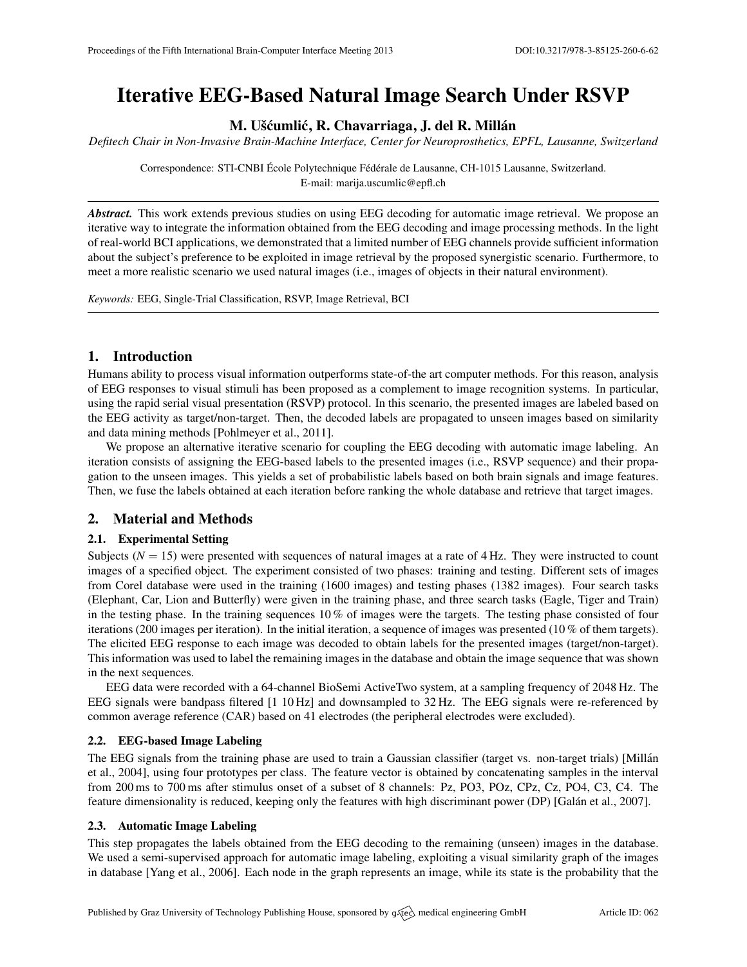# Iterative EEG-Based Natural Image Search Under RSVP

M. Ušćumlić, R. Chavarriaga, J. del R. Millán

*Defitech Chair in Non-Invasive Brain-Machine Interface, Center for Neuroprosthetics, EPFL, Lausanne, Switzerland*

Correspondence: STI-CNBI École Polytechnique Fédérale de Lausanne, CH-1015 Lausanne, Switzerland. E-mail: [marija.uscumlic@epfl.ch](mailto:marija.uscumlic@epfl.ch)

*Abstract.* This work extends previous studies on using EEG decoding for automatic image retrieval. We propose an iterative way to integrate the information obtained from the EEG decoding and image processing methods. In the light of real-world BCI applications, we demonstrated that a limited number of EEG channels provide sufficient information about the subject's preference to be exploited in image retrieval by the proposed synergistic scenario. Furthermore, to meet a more realistic scenario we used natural images (i.e., images of objects in their natural environment).

*Keywords:* EEG, Single-Trial Classification, RSVP, Image Retrieval, BCI

## 1. Introduction

Humans ability to process visual information outperforms state-of-the art computer methods. For this reason, analysis of EEG responses to visual stimuli has been proposed as a complement to image recognition systems. In particular, using the rapid serial visual presentation (RSVP) protocol. In this scenario, the presented images are labeled based on the EEG activity as target/non-target. Then, the decoded labels are propagated to unseen images based on similarity and data mining methods [\[Pohlmeyer et al.,](#page-1-0) [2011\]](#page-1-0).

We propose an alternative iterative scenario for coupling the EEG decoding with automatic image labeling. An iteration consists of assigning the EEG-based labels to the presented images (i.e., RSVP sequence) and their propagation to the unseen images. This yields a set of probabilistic labels based on both brain signals and image features. Then, we fuse the labels obtained at each iteration before ranking the whole database and retrieve that target images.

### 2. Material and Methods

#### 2.1. Experimental Setting

Subjects  $(N = 15)$  were presented with sequences of natural images at a rate of  $4 \text{ Hz}$ . They were instructed to count images of a specified object. The experiment consisted of two phases: training and testing. Different sets of images from Corel database were used in the training (1600 images) and testing phases (1382 images). Four search tasks (Elephant, Car, Lion and Butterfly) were given in the training phase, and three search tasks (Eagle, Tiger and Train) in the testing phase. In the training sequences 10 % of images were the targets. The testing phase consisted of four iterations (200 images per iteration). In the initial iteration, a sequence of images was presented (10 % of them targets). The elicited EEG response to each image was decoded to obtain labels for the presented images (target/non-target). This information was used to label the remaining images in the database and obtain the image sequence that was shown in the next sequences.

EEG data were recorded with a 64-channel BioSemi ActiveTwo system, at a sampling frequency of 2048 Hz. The EEG signals were bandpass filtered [1 10 Hz] and downsampled to 32 Hz. The EEG signals were re-referenced by common average reference (CAR) based on 41 electrodes (the peripheral electrodes were excluded).

#### 2.2. EEG-based Image Labeling

The EEG signals from the training phase are used to train a Gaussian classifier (target vs. non-target trials) [\[Millan´](#page-1-1) [et al.,](#page-1-1) [2004\]](#page-1-1), using four prototypes per class. The feature vector is obtained by concatenating samples in the interval from 200 ms to 700 ms after stimulus onset of a subset of 8 channels: Pz, PO3, POz, CPz, Cz, PO4, C3, C4. The feature dimensionality is reduced, keeping only the features with high discriminant power (DP) [Galán et al., [2007\]](#page-1-2).

#### 2.3. Automatic Image Labeling

This step propagates the labels obtained from the EEG decoding to the remaining (unseen) images in the database. We used a semi-supervised approach for automatic image labeling, exploiting a visual similarity graph of the images in database [\[Yang et al.,](#page-1-3) [2006\]](#page-1-3). Each node in the graph represents an image, while its state is the probability that the